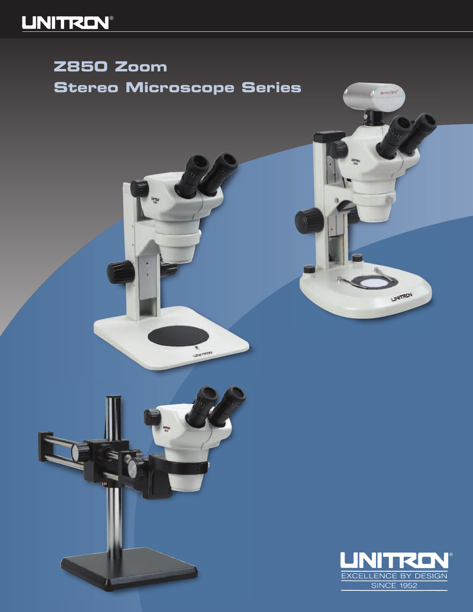# **LINITREN®**

# **Z850 Zoom Stereo Microscope Series**

uray<br><sup>781</sup>

**Charlest** 

 $\sqrt{2}$ 



LINITROV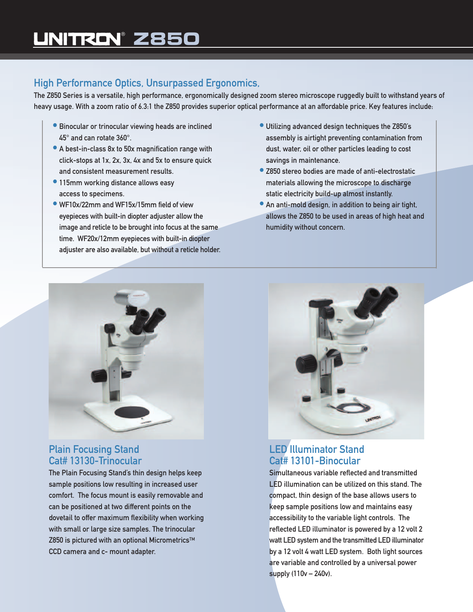## High Performance Optics, Unsurpassed Ergonomics,

The Z850 Series is a versatile, high performance, ergonomically designed zoom stereo microscope ruggedly built to withstand years of heavy usage. With a zoom ratio of 6.3:1 the Z850 provides superior optical performance at an affordable price. Key features include:

- Binocular or trinocular viewing heads are inclined 45° and can rotate 360°.
- A best-in-class 8x to 50x magnification range with click-stops at 1x, 2x, 3x, 4x and 5x to ensure quick and consistent measurement results.
- 115mm working distance allows easy access to specimens.
- WF10x/22mm and WF15x/15mm field of view eyepieces with built-in diopter adjuster allow the image and reticle to be brought into focus at the same time. WF20x/12mm eyepieces with built-in diopter adjuster are also available, but without a reticle holder.
- Utilizing advanced design techniques the Z850's assembly is airtight preventing contamination from dust, water, oil or other particles leading to cost savings in maintenance.
- Z850 stereo bodies are made of anti-electrostatic materials allowing the microscope to discharge static electricity build-up almost instantly.
- An anti-mold design, in addition to being air tight, allows the Z850 to be used in areas of high heat and humidity without concern.



### Plain Focusing Stand Cat# 13130-Trinocular

The Plain Focusing Stand's thin design helps keep sample positions low resulting in increased user comfort. The focus mount is easily removable and can be positioned at two different points on the dovetail to offer maximum flexibility when working with small or large size samples. The trinocular Z850 is pictured with an optional Micrometrics™ CCD camera and c- mount adapter.



### LED Illuminator Stand Cat# 13101-Binocular

Simultaneous variable reflected and transmitted LED illumination can be utilized on this stand. The compact, thin design of the base allows users to keep sample positions low and maintains easy accessibility to the variable light controls. The reflected LED illuminator is powered by a 12 volt 2 watt LED system and the transmitted LED illuminator by a 12 volt 4 watt LED system. Both light sources are variable and controlled by a universal power supply (110v – 240v).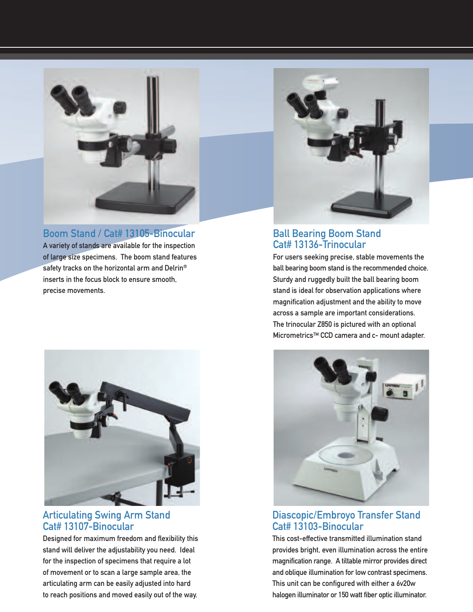

### Boom Stand / Cat# 13105-Binocular

A variety of stands are available for the inspection of large size specimens. The boom stand features safety tracks on the horizontal arm and Delrin® inserts in the focus block to ensure smooth, precise movements.



#### Articulating Swing Arm Stand Cat# 13107-Binocular

Designed for maximum freedom and flexibility this stand will deliver the adjustability you need. Ideal for the inspection of specimens that require a lot of movement or to scan a large sample area, the articulating arm can be easily adjusted into hard to reach positions and moved easily out of the way.



#### Ball Bearing Boom Stand Cat# 13136-Trinocular

For users seeking precise, stable movements the ball bearing boom stand is the recommended choice. Sturdy and ruggedly built the ball bearing boom stand is ideal for observation applications where magnification adjustment and the ability to move across a sample are important considerations. The trinocular Z850 is pictured with an optional MicrometricsTM CCD camera and c- mount adapter.



#### Diascopic/Embroyo Transfer Stand Cat# 13103-Binocular

This cost-effective transmitted illumination stand provides bright, even illumination across the entire magnification range. A tiltable mirror provides direct and oblique illumination for low contrast specimens. This unit can be configured with either a 6v20w halogen illuminator or 150 watt fiber optic illuminator.